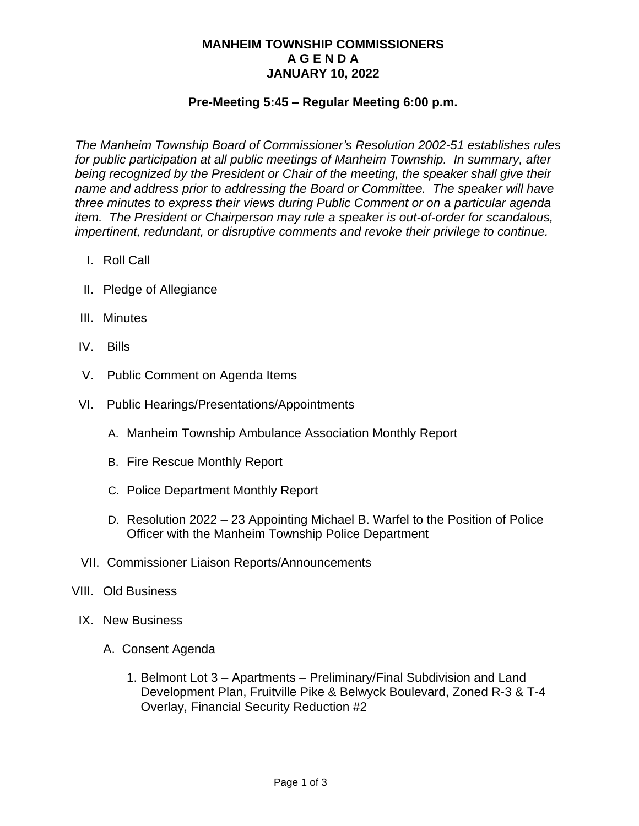## **MANHEIM TOWNSHIP COMMISSIONERS A G E N D A JANUARY 10, 2022**

### **Pre-Meeting 5:45 – Regular Meeting 6:00 p.m.**

*The Manheim Township Board of Commissioner's Resolution 2002-51 establishes rules for public participation at all public meetings of Manheim Township. In summary, after being recognized by the President or Chair of the meeting, the speaker shall give their name and address prior to addressing the Board or Committee. The speaker will have three minutes to express their views during Public Comment or on a particular agenda item. The President or Chairperson may rule a speaker is out-of-order for scandalous, impertinent, redundant, or disruptive comments and revoke their privilege to continue.*

- I. Roll Call
- II. Pledge of Allegiance
- III. Minutes
- IV. Bills
- V. Public Comment on Agenda Items
- VI. Public Hearings/Presentations/Appointments
	- A. Manheim Township Ambulance Association Monthly Report
	- B. Fire Rescue Monthly Report
	- C. Police Department Monthly Report
	- D. Resolution 2022 23 Appointing Michael B. Warfel to the Position of Police Officer with the Manheim Township Police Department
- VII. Commissioner Liaison Reports/Announcements
- VIII. Old Business
	- IX. New Business
		- A. Consent Agenda
			- 1. Belmont Lot 3 Apartments Preliminary/Final Subdivision and Land Development Plan, Fruitville Pike & Belwyck Boulevard, Zoned R-3 & T-4 Overlay, Financial Security Reduction #2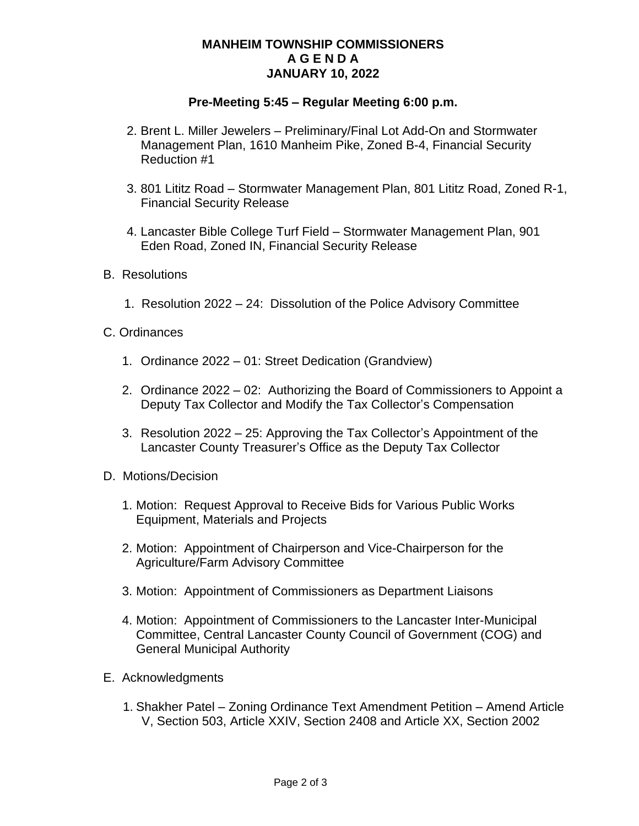## **MANHEIM TOWNSHIP COMMISSIONERS A G E N D A JANUARY 10, 2022**

### **Pre-Meeting 5:45 – Regular Meeting 6:00 p.m.**

- 2. Brent L. Miller Jewelers Preliminary/Final Lot Add-On and Stormwater Management Plan, 1610 Manheim Pike, Zoned B-4, Financial Security Reduction #1
- 3. 801 Lititz Road Stormwater Management Plan, 801 Lititz Road, Zoned R-1, Financial Security Release
- 4. Lancaster Bible College Turf Field Stormwater Management Plan, 901 Eden Road, Zoned IN, Financial Security Release
- B. Resolutions
	- 1. Resolution 2022 24: Dissolution of the Police Advisory Committee
- C. Ordinances
	- 1. Ordinance 2022 01: Street Dedication (Grandview)
	- 2. Ordinance 2022 02: Authorizing the Board of Commissioners to Appoint a Deputy Tax Collector and Modify the Tax Collector's Compensation
	- 3. Resolution 2022 25: Approving the Tax Collector's Appointment of the Lancaster County Treasurer's Office as the Deputy Tax Collector
- D. Motions/Decision
	- 1. Motion: Request Approval to Receive Bids for Various Public Works Equipment, Materials and Projects
	- 2. Motion: Appointment of Chairperson and Vice-Chairperson for the Agriculture/Farm Advisory Committee
	- 3. Motion: Appointment of Commissioners as Department Liaisons
	- 4. Motion: Appointment of Commissioners to the Lancaster Inter-Municipal Committee, Central Lancaster County Council of Government (COG) and General Municipal Authority
- E. Acknowledgments
	- 1. Shakher Patel Zoning Ordinance Text Amendment Petition Amend Article V, Section 503, Article XXIV, Section 2408 and Article XX, Section 2002